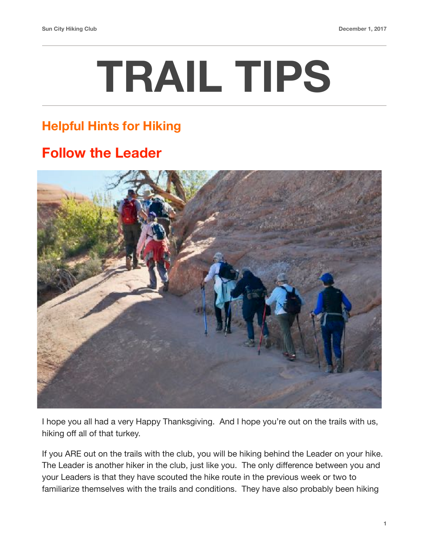## **TRAIL TIPS**

## **Helpful Hints for Hiking**

## **Follow the Leader**



I hope you all had a very Happy Thanksgiving. And I hope you're out on the trails with us, hiking off all of that turkey.

If you ARE out on the trails with the club, you will be hiking behind the Leader on your hike. The Leader is another hiker in the club, just like you. The only difference between you and your Leaders is that they have scouted the hike route in the previous week or two to familiarize themselves with the trails and conditions. They have also probably been hiking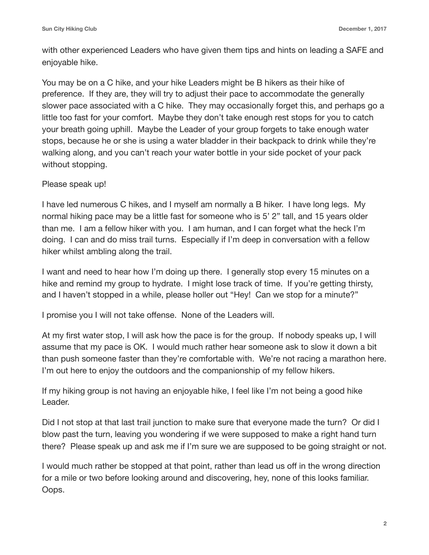with other experienced Leaders who have given them tips and hints on leading a SAFE and enjoyable hike.

You may be on a C hike, and your hike Leaders might be B hikers as their hike of preference. If they are, they will try to adjust their pace to accommodate the generally slower pace associated with a C hike. They may occasionally forget this, and perhaps go a little too fast for your comfort. Maybe they don't take enough rest stops for you to catch your breath going uphill. Maybe the Leader of your group forgets to take enough water stops, because he or she is using a water bladder in their backpack to drink while they're walking along, and you can't reach your water bottle in your side pocket of your pack without stopping.

## Please speak up!

I have led numerous C hikes, and I myself am normally a B hiker. I have long legs. My normal hiking pace may be a little fast for someone who is 5' 2" tall, and 15 years older than me. I am a fellow hiker with you. I am human, and I can forget what the heck I'm doing. I can and do miss trail turns. Especially if I'm deep in conversation with a fellow hiker whilst ambling along the trail.

I want and need to hear how I'm doing up there. I generally stop every 15 minutes on a hike and remind my group to hydrate. I might lose track of time. If you're getting thirsty, and I haven't stopped in a while, please holler out "Hey! Can we stop for a minute?"

I promise you I will not take offense. None of the Leaders will.

At my first water stop, I will ask how the pace is for the group. If nobody speaks up, I will assume that my pace is OK. I would much rather hear someone ask to slow it down a bit than push someone faster than they're comfortable with. We're not racing a marathon here. I'm out here to enjoy the outdoors and the companionship of my fellow hikers.

If my hiking group is not having an enjoyable hike, I feel like I'm not being a good hike Leader.

Did I not stop at that last trail junction to make sure that everyone made the turn? Or did I blow past the turn, leaving you wondering if we were supposed to make a right hand turn there? Please speak up and ask me if I'm sure we are supposed to be going straight or not.

I would much rather be stopped at that point, rather than lead us off in the wrong direction for a mile or two before looking around and discovering, hey, none of this looks familiar. Oops.